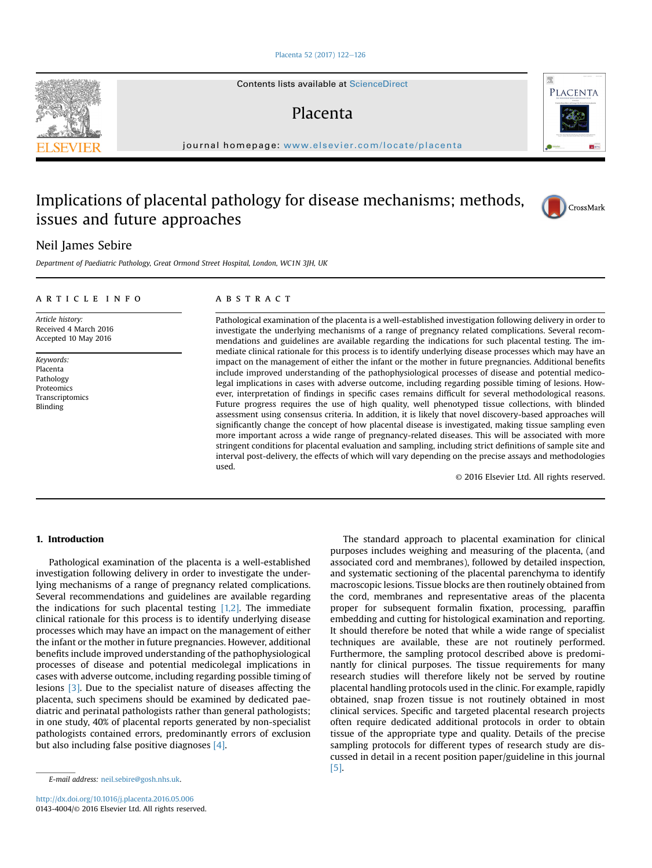#### [Placenta 52 \(2017\) 122](http://dx.doi.org/10.1016/j.placenta.2016.05.006)-[126](http://dx.doi.org/10.1016/j.placenta.2016.05.006)

Contents lists available at ScienceDirect

## Placenta

journal homepage: [www.elsevier.com/locate/placenta](http://www.elsevier.com/locate/placenta)

# Implications of placental pathology for disease mechanisms; methods, issues and future approaches

### Neil James Sebire

Department of Paediatric Pathology, Great Ormond Street Hospital, London, WC1N 3JH, UK

#### article info

Article history: Received 4 March 2016 Accepted 10 May 2016

Keywords: Placenta Pathology Proteomics Transcriptomics Blinding

#### **ABSTRACT**

Pathological examination of the placenta is a well-established investigation following delivery in order to investigate the underlying mechanisms of a range of pregnancy related complications. Several recommendations and guidelines are available regarding the indications for such placental testing. The immediate clinical rationale for this process is to identify underlying disease processes which may have an impact on the management of either the infant or the mother in future pregnancies. Additional benefits include improved understanding of the pathophysiological processes of disease and potential medicolegal implications in cases with adverse outcome, including regarding possible timing of lesions. However, interpretation of findings in specific cases remains difficult for several methodological reasons. Future progress requires the use of high quality, well phenotyped tissue collections, with blinded assessment using consensus criteria. In addition, it is likely that novel discovery-based approaches will significantly change the concept of how placental disease is investigated, making tissue sampling even more important across a wide range of pregnancy-related diseases. This will be associated with more stringent conditions for placental evaluation and sampling, including strict definitions of sample site and interval post-delivery, the effects of which will vary depending on the precise assays and methodologies used.

© 2016 Elsevier Ltd. All rights reserved.

#### 1. Introduction

Pathological examination of the placenta is a well-established investigation following delivery in order to investigate the underlying mechanisms of a range of pregnancy related complications. Several recommendations and guidelines are available regarding the indications for such placental testing  $[1,2]$ . The immediate clinical rationale for this process is to identify underlying disease processes which may have an impact on the management of either the infant or the mother in future pregnancies. However, additional benefits include improved understanding of the pathophysiological processes of disease and potential medicolegal implications in cases with adverse outcome, including regarding possible timing of lesions [\[3\].](#page-3-0) Due to the specialist nature of diseases affecting the placenta, such specimens should be examined by dedicated paediatric and perinatal pathologists rather than general pathologists; in one study, 40% of placental reports generated by non-specialist pathologists contained errors, predominantly errors of exclusion but also including false positive diagnoses [\[4\].](#page-3-0)

<http://dx.doi.org/10.1016/j.placenta.2016.05.006> 0143-4004/© 2016 Elsevier Ltd. All rights reserved.

The standard approach to placental examination for clinical purposes includes weighing and measuring of the placenta, (and associated cord and membranes), followed by detailed inspection, and systematic sectioning of the placental parenchyma to identify macroscopic lesions. Tissue blocks are then routinely obtained from the cord, membranes and representative areas of the placenta proper for subsequent formalin fixation, processing, paraffin embedding and cutting for histological examination and reporting. It should therefore be noted that while a wide range of specialist techniques are available, these are not routinely performed. Furthermore, the sampling protocol described above is predominantly for clinical purposes. The tissue requirements for many research studies will therefore likely not be served by routine placental handling protocols used in the clinic. For example, rapidly obtained, snap frozen tissue is not routinely obtained in most clinical services. Specific and targeted placental research projects often require dedicated additional protocols in order to obtain tissue of the appropriate type and quality. Details of the precise sampling protocols for different types of research study are discussed in detail in a recent position paper/guideline in this journal





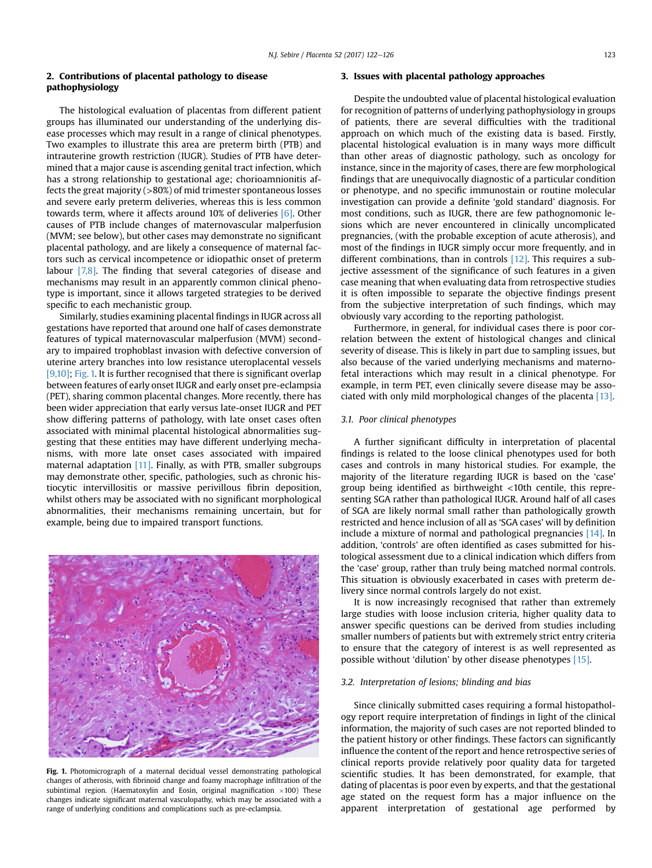#### 2. Contributions of placental pathology to disease pathophysiology

The histological evaluation of placentas from different patient groups has illuminated our understanding of the underlying disease processes which may result in a range of clinical phenotypes. Two examples to illustrate this area are preterm birth (PTB) and intrauterine growth restriction (IUGR). Studies of PTB have determined that a major cause is ascending genital tract infection, which has a strong relationship to gestational age; chorioamnionitis affects the great majority (>80%) of mid trimester spontaneous losses and severe early preterm deliveries, whereas this is less common towards term, where it affects around 10% of deliveries [\[6\]](#page-4-0). Other causes of PTB include changes of maternovascular malperfusion (MVM; see below), but other cases may demonstrate no significant placental pathology, and are likely a consequence of maternal factors such as cervical incompetence or idiopathic onset of preterm labour [\[7,8\].](#page-4-0) The finding that several categories of disease and mechanisms may result in an apparently common clinical phenotype is important, since it allows targeted strategies to be derived specific to each mechanistic group.

Similarly, studies examining placental findings in IUGR across all gestations have reported that around one half of cases demonstrate features of typical maternovascular malperfusion (MVM) secondary to impaired trophoblast invasion with defective conversion of uterine artery branches into low resistance uteroplacental vessels [\[9,10\]](#page-4-0); Fig. 1. It is further recognised that there is significant overlap between features of early onset IUGR and early onset pre-eclampsia (PET), sharing common placental changes. More recently, there has been wider appreciation that early versus late-onset IUGR and PET show differing patterns of pathology, with late onset cases often associated with minimal placental histological abnormalities suggesting that these entities may have different underlying mechanisms, with more late onset cases associated with impaired maternal adaptation [\[11\].](#page-4-0) Finally, as with PTB, smaller subgroups may demonstrate other, specific, pathologies, such as chronic histiocytic intervillositis or massive perivillous fibrin deposition, whilst others may be associated with no significant morphological abnormalities, their mechanisms remaining uncertain, but for example, being due to impaired transport functions.



Fig. 1. Photomicrograph of a maternal decidual vessel demonstrating pathological changes of atherosis, with fibrinoid change and foamy macrophage infiltration of the subintimal region. (Haematoxylin and Eosin, original magnification  $\times$ 100) These changes indicate significant maternal vasculopathy, which may be associated with a range of underlying conditions and complications such as pre-eclampsia.

#### 3. Issues with placental pathology approaches

Despite the undoubted value of placental histological evaluation for recognition of patterns of underlying pathophysiology in groups of patients, there are several difficulties with the traditional approach on which much of the existing data is based. Firstly, placental histological evaluation is in many ways more difficult than other areas of diagnostic pathology, such as oncology for instance, since in the majority of cases, there are few morphological findings that are unequivocally diagnostic of a particular condition or phenotype, and no specific immunostain or routine molecular investigation can provide a definite 'gold standard' diagnosis. For most conditions, such as IUGR, there are few pathognomonic lesions which are never encountered in clinically uncomplicated pregnancies, (with the probable exception of acute atherosis), and most of the findings in IUGR simply occur more frequently, and in different combinations, than in controls [\[12\].](#page-4-0) This requires a subjective assessment of the significance of such features in a given case meaning that when evaluating data from retrospective studies it is often impossible to separate the objective findings present from the subjective interpretation of such findings, which may obviously vary according to the reporting pathologist.

Furthermore, in general, for individual cases there is poor correlation between the extent of histological changes and clinical severity of disease. This is likely in part due to sampling issues, but also because of the varied underlying mechanisms and maternofetal interactions which may result in a clinical phenotype. For example, in term PET, even clinically severe disease may be associated with only mild morphological changes of the placenta [\[13\].](#page-4-0)

#### 3.1. Poor clinical phenotypes

A further significant difficulty in interpretation of placental findings is related to the loose clinical phenotypes used for both cases and controls in many historical studies. For example, the majority of the literature regarding IUGR is based on the 'case' group being identified as birthweight <10th centile, this representing SGA rather than pathological IUGR. Around half of all cases of SGA are likely normal small rather than pathologically growth restricted and hence inclusion of all as 'SGA cases' will by definition include a mixture of normal and pathological pregnancies [\[14\]](#page-4-0). In addition, 'controls' are often identified as cases submitted for histological assessment due to a clinical indication which differs from the 'case' group, rather than truly being matched normal controls. This situation is obviously exacerbated in cases with preterm delivery since normal controls largely do not exist.

It is now increasingly recognised that rather than extremely large studies with loose inclusion criteria, higher quality data to answer specific questions can be derived from studies including smaller numbers of patients but with extremely strict entry criteria to ensure that the category of interest is as well represented as possible without 'dilution' by other disease phenotypes [\[15\].](#page-4-0)

#### 3.2. Interpretation of lesions; blinding and bias

Since clinically submitted cases requiring a formal histopathology report require interpretation of findings in light of the clinical information, the majority of such cases are not reported blinded to the patient history or other findings. These factors can significantly influence the content of the report and hence retrospective series of clinical reports provide relatively poor quality data for targeted scientific studies. It has been demonstrated, for example, that dating of placentas is poor even by experts, and that the gestational age stated on the request form has a major influence on the apparent interpretation of gestational age performed by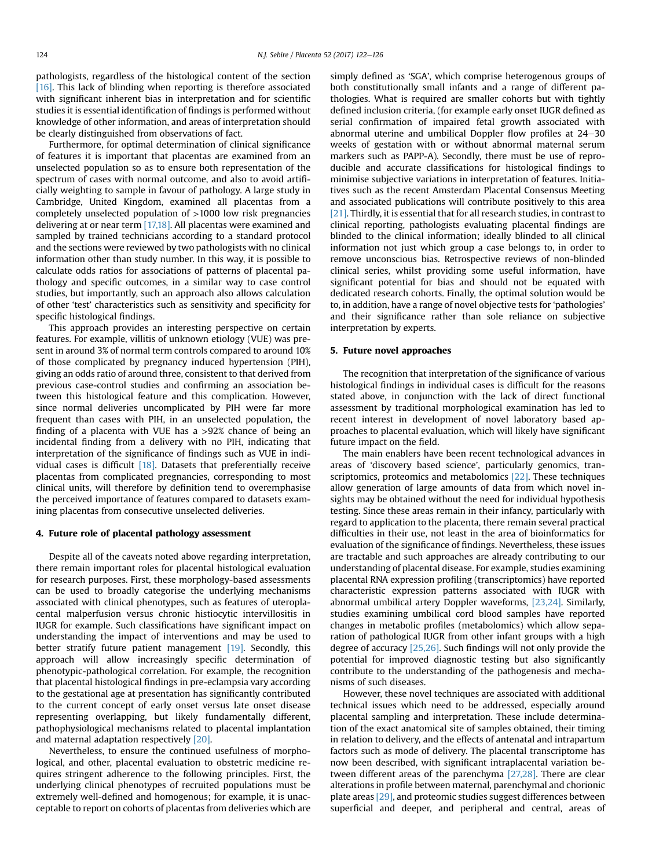pathologists, regardless of the histological content of the section  $[16]$ . This lack of blinding when reporting is therefore associated with significant inherent bias in interpretation and for scientific studies it is essential identification of findings is performed without knowledge of other information, and areas of interpretation should be clearly distinguished from observations of fact.

Furthermore, for optimal determination of clinical significance of features it is important that placentas are examined from an unselected population so as to ensure both representation of the spectrum of cases with normal outcome, and also to avoid artificially weighting to sample in favour of pathology. A large study in Cambridge, United Kingdom, examined all placentas from a completely unselected population of >1000 low risk pregnancies delivering at or near term [\[17,18\].](#page-4-0) All placentas were examined and sampled by trained technicians according to a standard protocol and the sections were reviewed by two pathologists with no clinical information other than study number. In this way, it is possible to calculate odds ratios for associations of patterns of placental pathology and specific outcomes, in a similar way to case control studies, but importantly, such an approach also allows calculation of other 'test' characteristics such as sensitivity and specificity for specific histological findings.

This approach provides an interesting perspective on certain features. For example, villitis of unknown etiology (VUE) was present in around 3% of normal term controls compared to around 10% of those complicated by pregnancy induced hypertension (PIH), giving an odds ratio of around three, consistent to that derived from previous case-control studies and confirming an association between this histological feature and this complication. However, since normal deliveries uncomplicated by PIH were far more frequent than cases with PIH, in an unselected population, the finding of a placenta with VUE has a >92% chance of being an incidental finding from a delivery with no PIH, indicating that interpretation of the significance of findings such as VUE in individual cases is difficult  $[18]$ . Datasets that preferentially receive placentas from complicated pregnancies, corresponding to most clinical units, will therefore by definition tend to overemphasise the perceived importance of features compared to datasets examining placentas from consecutive unselected deliveries.

#### 4. Future role of placental pathology assessment

Despite all of the caveats noted above regarding interpretation, there remain important roles for placental histological evaluation for research purposes. First, these morphology-based assessments can be used to broadly categorise the underlying mechanisms associated with clinical phenotypes, such as features of uteroplacental malperfusion versus chronic histiocytic intervillositis in IUGR for example. Such classifications have significant impact on understanding the impact of interventions and may be used to better stratify future patient management [\[19\]](#page-4-0). Secondly, this approach will allow increasingly specific determination of phenotypic-pathological correlation. For example, the recognition that placental histological findings in pre-eclampsia vary according to the gestational age at presentation has significantly contributed to the current concept of early onset versus late onset disease representing overlapping, but likely fundamentally different, pathophysiological mechanisms related to placental implantation and maternal adaptation respectively [\[20\]](#page-4-0).

Nevertheless, to ensure the continued usefulness of morphological, and other, placental evaluation to obstetric medicine requires stringent adherence to the following principles. First, the underlying clinical phenotypes of recruited populations must be extremely well-defined and homogenous; for example, it is unacceptable to report on cohorts of placentas from deliveries which are simply defined as 'SGA', which comprise heterogenous groups of both constitutionally small infants and a range of different pathologies. What is required are smaller cohorts but with tightly defined inclusion criteria, (for example early onset IUGR defined as serial confirmation of impaired fetal growth associated with abnormal uterine and umbilical Doppler flow profiles at  $24-30$ weeks of gestation with or without abnormal maternal serum markers such as PAPP-A). Secondly, there must be use of reproducible and accurate classifications for histological findings to minimise subjective variations in interpretation of features. Initiatives such as the recent Amsterdam Placental Consensus Meeting and associated publications will contribute positively to this area [\[21\].](#page-4-0) Thirdly, it is essential that for all research studies, in contrast to clinical reporting, pathologists evaluating placental findings are blinded to the clinical information; ideally blinded to all clinical information not just which group a case belongs to, in order to remove unconscious bias. Retrospective reviews of non-blinded clinical series, whilst providing some useful information, have significant potential for bias and should not be equated with dedicated research cohorts. Finally, the optimal solution would be to, in addition, have a range of novel objective tests for 'pathologies' and their significance rather than sole reliance on subjective interpretation by experts.

#### 5. Future novel approaches

The recognition that interpretation of the significance of various histological findings in individual cases is difficult for the reasons stated above, in conjunction with the lack of direct functional assessment by traditional morphological examination has led to recent interest in development of novel laboratory based approaches to placental evaluation, which will likely have significant future impact on the field.

The main enablers have been recent technological advances in areas of 'discovery based science', particularly genomics, tran-scriptomics, proteomics and metabolomics [\[22\].](#page-4-0) These techniques allow generation of large amounts of data from which novel insights may be obtained without the need for individual hypothesis testing. Since these areas remain in their infancy, particularly with regard to application to the placenta, there remain several practical difficulties in their use, not least in the area of bioinformatics for evaluation of the significance of findings. Nevertheless, these issues are tractable and such approaches are already contributing to our understanding of placental disease. For example, studies examining placental RNA expression profiling (transcriptomics) have reported characteristic expression patterns associated with IUGR with abnormal umbilical artery Doppler waveforms, [\[23,24\].](#page-4-0) Similarly, studies examining umbilical cord blood samples have reported changes in metabolic profiles (metabolomics) which allow separation of pathological IUGR from other infant groups with a high degree of accuracy [\[25,26\]](#page-4-0). Such findings will not only provide the potential for improved diagnostic testing but also significantly contribute to the understanding of the pathogenesis and mechanisms of such diseases.

However, these novel techniques are associated with additional technical issues which need to be addressed, especially around placental sampling and interpretation. These include determination of the exact anatomical site of samples obtained, their timing in relation to delivery, and the effects of antenatal and intrapartum factors such as mode of delivery. The placental transcriptome has now been described, with significant intraplacental variation between different areas of the parenchyma [\[27,28\].](#page-4-0) There are clear alterations in profile between maternal, parenchymal and chorionic plate areas [\[29\],](#page-4-0) and proteomic studies suggest differences between superficial and deeper, and peripheral and central, areas of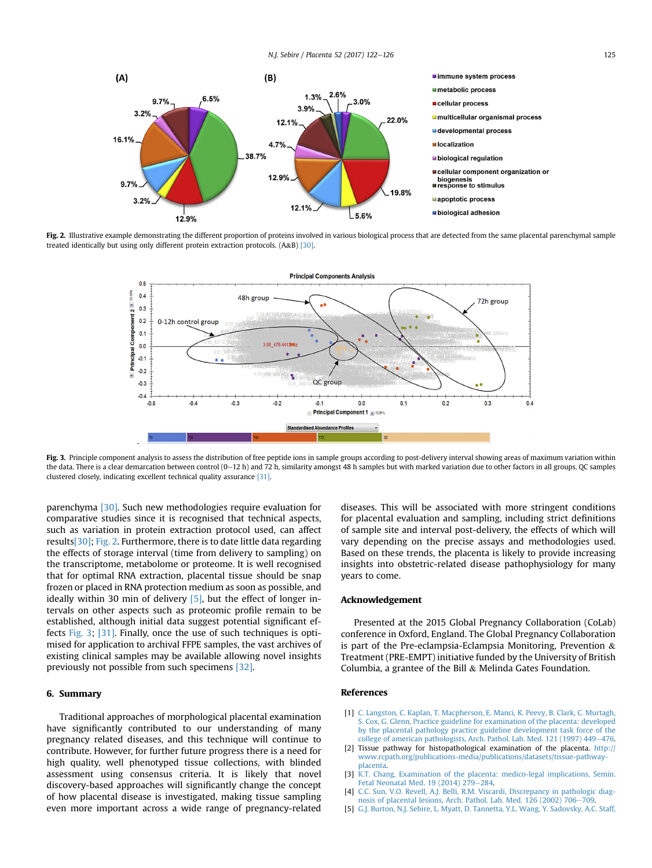<span id="page-3-0"></span>

Fig. 2. Illustrative example demonstrating the different proportion of proteins involved in various biological process that are detected from the same placental parenchymal sample treated identically but using only different protein extraction protocols. (A&B) [\[30\]](#page-4-0).



Fig. 3. Principle component analysis to assess the distribution of free peptide ions in sample groups according to post-delivery interval showing areas of maximum variation within the data. There is a clear demarcation between control  $(0-12 h)$  and 72 h, similarity amongst 48 h samples but with marked variation due to other factors in all groups. OC samples clustered closely, indicating excellent technical quality assurance [\[31\].](#page-4-0)

parenchyma [\[30\]](#page-4-0). Such new methodologies require evaluation for comparative studies since it is recognised that technical aspects, such as variation in protein extraction protocol used, can affect results[\[30\]](#page-4-0); Fig. 2. Furthermore, there is to date little data regarding the effects of storage interval (time from delivery to sampling) on the transcriptome, metabolome or proteome. It is well recognised that for optimal RNA extraction, placental tissue should be snap frozen or placed in RNA protection medium as soon as possible, and ideally within 30 min of delivery [5], but the effect of longer intervals on other aspects such as proteomic profile remain to be established, although initial data suggest potential significant effects Fig. 3; [\[31\].](#page-4-0) Finally, once the use of such techniques is optimised for application to archival FFPE samples, the vast archives of existing clinical samples may be available allowing novel insights previously not possible from such specimens [\[32\].](#page-4-0)

#### 6. Summary

Traditional approaches of morphological placental examination have significantly contributed to our understanding of many pregnancy related diseases, and this technique will continue to contribute. However, for further future progress there is a need for high quality, well phenotyped tissue collections, with blinded assessment using consensus criteria. It is likely that novel discovery-based approaches will significantly change the concept of how placental disease is investigated, making tissue sampling even more important across a wide range of pregnancy-related diseases. This will be associated with more stringent conditions for placental evaluation and sampling, including strict definitions of sample site and interval post-delivery, the effects of which will vary depending on the precise assays and methodologies used. Based on these trends, the placenta is likely to provide increasing insights into obstetric-related disease pathophysiology for many years to come.

#### Acknowledgement

Presented at the 2015 Global Pregnancy Collaboration (CoLab) conference in Oxford, England. The Global Pregnancy Collaboration is part of the Pre-eclampsia-Eclampsia Monitoring, Prevention & Treatment (PRE-EMPT) initiative funded by the University of British Columbia, a grantee of the Bill & Melinda Gates Foundation.

#### References

- [1] [C. Langston, C. Kaplan, T. Macpherson, E. Manci, K. Peevy, B. Clark, C. Murtagh,](http://refhub.elsevier.com/S0143-4004(16)30096-0/sref1) [S. Cox, G. Glenn, Practice guideline for examination of the placenta: developed](http://refhub.elsevier.com/S0143-4004(16)30096-0/sref1) [by the placental pathology practice guideline development task force of the](http://refhub.elsevier.com/S0143-4004(16)30096-0/sref1) [college of american pathologists, Arch. Pathol. Lab. Med. 121 \(1997\) 449](http://refhub.elsevier.com/S0143-4004(16)30096-0/sref1)-[476](http://refhub.elsevier.com/S0143-4004(16)30096-0/sref1).
- [2] Tissue pathway for histopathological examination of the placenta. [http://](http://www.rcpath.org/publications-media/publications/datasets/tissue-pathway-placenta) [www.rcpath.org/publications-media/publications/datasets/tissue-pathway](http://www.rcpath.org/publications-media/publications/datasets/tissue-pathway-placenta)[placenta](http://www.rcpath.org/publications-media/publications/datasets/tissue-pathway-placenta).
- [3] [K.T. Chang, Examination of the placenta: medico-legal implications, Semin.](http://refhub.elsevier.com/S0143-4004(16)30096-0/sref3) [Fetal Neonatal Med. 19 \(2014\) 279](http://refhub.elsevier.com/S0143-4004(16)30096-0/sref3)-[284](http://refhub.elsevier.com/S0143-4004(16)30096-0/sref3).
- [4] [C.C. Sun, V.O. Revell, A.J. Belli, R.M. Viscardi, Discrepancy in pathologic diag](http://refhub.elsevier.com/S0143-4004(16)30096-0/sref4)[nosis of placental lesions, Arch. Pathol. Lab. Med. 126 \(2002\) 706](http://refhub.elsevier.com/S0143-4004(16)30096-0/sref4)-[709](http://refhub.elsevier.com/S0143-4004(16)30096-0/sref4).
- [5] [G.J. Burton, N.J. Sebire, L. Myatt, D. Tannetta, Y.L. Wang, Y. Sadovsky, A.C. Staff,](http://refhub.elsevier.com/S0143-4004(16)30096-0/sref5)